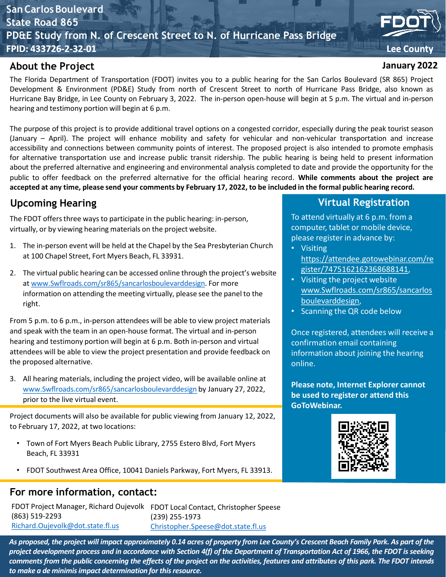### **San Carlos Boulevard State Road 865 PD&E Study from N. of Crescent Street to N. of Hurricane Pass Bridge FPID: 433726-2-32-01 Lee County**

#### **About the Project**

The Florida Department of Transportation (FDOT) invites you to a public hearing for the San Carlos Boulevard (SR 865) Project Development & Environment (PD&E) Study from north of Crescent Street to north of Hurricane Pass Bridge, also known as Hurricane Bay Bridge, in Lee County on February 3, 2022. The in-person open-house will begin at 5 p.m. The virtual and in-person hearing and testimony portion will begin at 6 p.m.

The purpose of this project is to provide additional travel options on a congested corridor, especially during the peak tourist season (January – April). The project will enhance mobility and safety for vehicular and non-vehicular transportation and increase accessibility and connections between community points of interest. The proposed project is also intended to promote emphasis for alternative transportation use and increase public transit ridership. The public hearing is being held to present information about the preferred alternative and engineering and environmental analysis completed to date and provide the opportunity for the public to offer feedback on the preferred alternative for the official hearing record. **While comments about the project are** accepted at any time, please send your comments by February 17, 2022, to be included in the formal public hearing record.

### **Upcoming Hearing**

The FDOT offers three ways to participate in the public hearing: in-person, virtually, or by viewing hearing materials on the project website.

- 1. The in-person event will be held at the Chapel by the Sea Presbyterian Church at 100 Chapel Street, Fort Myers Beach, FL 33931.
- 2. The virtual public hearing can be accessed online through the project's website at [www.Swflroads.com/sr865/sancarlosboulevarddesign.](http://www.swflroads.com/sr865/sancarlosboulevarddesign) For more information on attending the meeting virtually, please see the panel to the right.

From 5 p.m. to 6 p.m., in-person attendees will be able to view project materials and speak with the team in an open-house format. The virtual and in-person hearing and testimony portion will begin at 6 p.m. Both in-person and virtual attendees will be able to view the project presentation and provide feedback on the proposed alternative.

3. All hearing materials, including the project video, will be available online at [www.Swflroads.com/sr865/sancarlosboulevarddesign](http://www.swflroads.com/sr865/sancarlosboulevarddesign) by January 27, 2022, prior to the live virtual event.

Project documents will also be available for public viewing from January 12, 2022, to February 17, 2022, at two locations:

- Town of Fort Myers Beach Public Library, 2755 Estero Blvd, Fort Myers Beach, FL 33931
- FDOT Southwest Area Office, 10041 Daniels Parkway, Fort Myers, FL 33913.

#### **For more information, contact:**

FDOT Project Manager, Richard Oujevolk FDOT Local Contact, Christopher Speese (863) 519-2293 [Richard.Oujevolk@dot.state.fl.us](mailto:Richard.Oujevolk@dot.state.fl.us)

(239) 255-1973 [Christopher.Speese@dot.state.fl.us](mailto:Christopher.Speese@dot.state.fl.us)

# **January 2022**

**Virtual Registration**

To attend virtually at 6 p.m. from a computer, tablet or mobile device, please register in advance by:

- Visiting [https://attendee.gotowebinar.com/re](https://attendee.gotowebinar.com/register/7475162162368688141) gister/7475162162368688141,
- Visiting the project website www.Swflroads.com/sr865/sancarlos boulevarddesign,
- Scanning the QR code below

Once registered, attendees will receive a confirmation email containing information about joining the hearing online.

**Please note, Internet Explorer cannot be used to register or attend this GoToWebinar.**



As proposed, the project will impact approximately 0.14 acres of property from Lee County's Crescent Beach Family Park. As part of the project development process and in accordance with Section 4(f) of the Department of Transportation Act of 1966, the FDOT is seeking comments from the public concerning the effects of the project on the activities, features and attributes of this park. The FDOT intends *to make a de minimis impact determination forthisresource.*